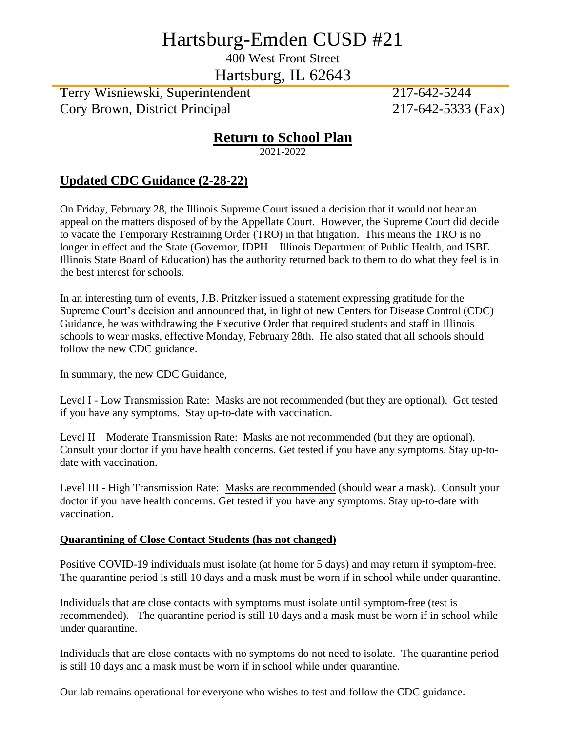# Hartsburg-Emden CUSD #21

400 West Front Street

Hartsburg, IL 62643

Terry Wisniewski, Superintendent 217-642-5244 Cory Brown, District Principal 217-642-5333 (Fax)

## **Return to School Plan**

2021-2022

### **Updated CDC Guidance (2-28-22)**

On Friday, February 28, the Illinois Supreme Court issued a decision that it would not hear an appeal on the matters disposed of by the Appellate Court. However, the Supreme Court did decide to vacate the Temporary Restraining Order (TRO) in that litigation. This means the TRO is no longer in effect and the State (Governor, IDPH – Illinois Department of Public Health, and ISBE – Illinois State Board of Education) has the authority returned back to them to do what they feel is in the best interest for schools.

In an interesting turn of events, J.B. Pritzker issued a statement expressing gratitude for the Supreme Court's decision and announced that, in light of new Centers for Disease Control (CDC) Guidance, he was withdrawing the Executive Order that required students and staff in Illinois schools to wear masks, effective Monday, February 28th. He also stated that all schools should follow the new CDC guidance.

In summary, the new CDC Guidance,

Level I - Low Transmission Rate: Masks are not recommended (but they are optional). Get tested if you have any symptoms. Stay up-to-date with vaccination.

Level II – Moderate Transmission Rate: Masks are not recommended (but they are optional). Consult your doctor if you have health concerns. Get tested if you have any symptoms. Stay up-todate with vaccination.

Level III - High Transmission Rate: Masks are recommended (should wear a mask). Consult your doctor if you have health concerns. Get tested if you have any symptoms. Stay up-to-date with vaccination.

#### **Quarantining of Close Contact Students (has not changed)**

Positive COVID-19 individuals must isolate (at home for 5 days) and may return if symptom-free. The quarantine period is still 10 days and a mask must be worn if in school while under quarantine.

Individuals that are close contacts with symptoms must isolate until symptom-free (test is recommended). The quarantine period is still 10 days and a mask must be worn if in school while under quarantine.

Individuals that are close contacts with no symptoms do not need to isolate. The quarantine period is still 10 days and a mask must be worn if in school while under quarantine.

Our lab remains operational for everyone who wishes to test and follow the CDC guidance.